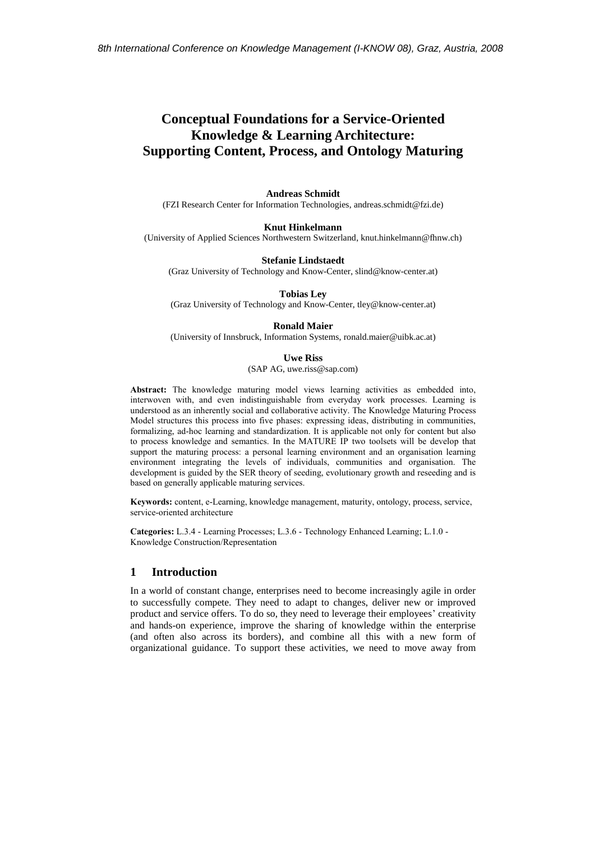# **Conceptual Foundations for a Service-Oriented Knowledge & Learning Architecture: Supporting Content, Process, and Ontology Maturing**

#### **Andreas Schmidt**

(FZI Research Center for Information Technologies, andreas.schmidt@fzi.de)

### **Knut Hinkelmann**

(University of Applied Sciences Northwestern Switzerland, knut.hinkelmann@fhnw.ch)

### **Stefanie Lindstaedt**

(Graz University of Technology and Know-Center, slind@know-center.at)

### **Tobias Ley**

(Graz University of Technology and Know-Center, tley@know-center.at)

#### **Ronald Maier**

(University of Innsbruck, Information Systems, ronald.maier@uibk.ac.at)

#### **Uwe Riss**

(SAP AG, uwe.riss@sap.com)

**Abstract:** The knowledge maturing model views learning activities as embedded into, interwoven with, and even indistinguishable from everyday work processes. Learning is understood as an inherently social and collaborative activity. The Knowledge Maturing Process Model structures this process into five phases: expressing ideas, distributing in communities, formalizing, ad-hoc learning and standardization. It is applicable not only for content but also to process knowledge and semantics. In the MATURE IP two toolsets will be develop that support the maturing process: a personal learning environment and an organisation learning environment integrating the levels of individuals, communities and organisation. The development is guided by the SER theory of seeding, evolutionary growth and reseeding and is based on generally applicable maturing services.

**Keywords:** content, e-Learning, knowledge management, maturity, ontology, process, service, service-oriented architecture

**Categories:** L.3.4 - Learning Processes; L.3.6 - Technology Enhanced Learning; L.1.0 - Knowledge Construction/Representation

# **1 Introduction**

In a world of constant change, enterprises need to become increasingly agile in order to successfully compete. They need to adapt to changes, deliver new or improved product and service offers. To do so, they need to leverage their employees' creativity and hands-on experience, improve the sharing of knowledge within the enterprise (and often also across its borders), and combine all this with a new form of organizational guidance. To support these activities, we need to move away from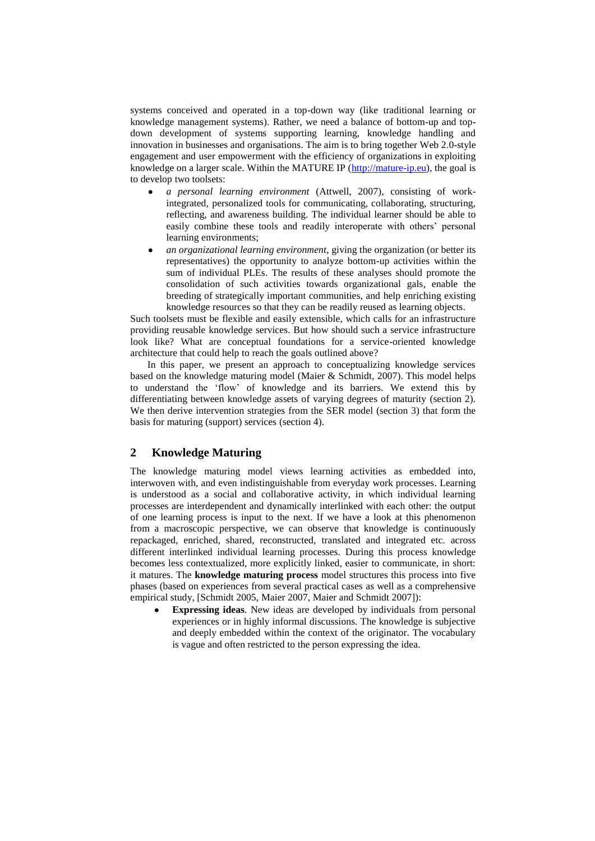systems conceived and operated in a top-down way (like traditional learning or knowledge management systems). Rather, we need a balance of bottom-up and topdown development of systems supporting learning, knowledge handling and innovation in businesses and organisations. The aim is to bring together Web 2.0-style engagement and user empowerment with the efficiency of organizations in exploiting knowledge on a larger scale. Within the MATURE IP [\(http://mature-ip.eu\)](http://mature-ip.eu/), the goal is to develop two toolsets:

- *a personal learning environment* (Attwell, 2007), consisting of work- $\bullet$ integrated, personalized tools for communicating, collaborating, structuring, reflecting, and awareness building. The individual learner should be able to easily combine these tools and readily interoperate with others' personal learning environments;
- *an organizational learning environment*, giving the organization (or better its representatives) the opportunity to analyze bottom-up activities within the sum of individual PLEs. The results of these analyses should promote the consolidation of such activities towards organizational gals, enable the breeding of strategically important communities, and help enriching existing knowledge resources so that they can be readily reused as learning objects.

Such toolsets must be flexible and easily extensible, which calls for an infrastructure providing reusable knowledge services. But how should such a service infrastructure look like? What are conceptual foundations for a service-oriented knowledge architecture that could help to reach the goals outlined above?

In this paper, we present an approach to conceptualizing knowledge services based on the knowledge maturing model (Maier & Schmidt, 2007). This model helps to understand the 'flow' of knowledge and its barriers. We extend this by differentiating between knowledge assets of varying degrees of maturity (section 2). We then derive intervention strategies from the SER model (section 3) that form the basis for maturing (support) services (section 4).

# **2 Knowledge Maturing**

The knowledge maturing model views learning activities as embedded into, interwoven with, and even indistinguishable from everyday work processes. Learning is understood as a social and collaborative activity, in which individual learning processes are interdependent and dynamically interlinked with each other: the output of one learning process is input to the next. If we have a look at this phenomenon from a macroscopic perspective, we can observe that knowledge is continuously repackaged, enriched, shared, reconstructed, translated and integrated etc. across different interlinked individual learning processes. During this process knowledge becomes less contextualized, more explicitly linked, easier to communicate, in short: it matures. The **knowledge maturing process** model structures this process into five phases (based on experiences from several practical cases as well as a comprehensive empirical study, [Schmidt 2005, Maier 2007, Maier and Schmidt 2007]):

**Expressing ideas**. New ideas are developed by individuals from personal experiences or in highly informal discussions. The knowledge is subjective and deeply embedded within the context of the originator. The vocabulary is vague and often restricted to the person expressing the idea.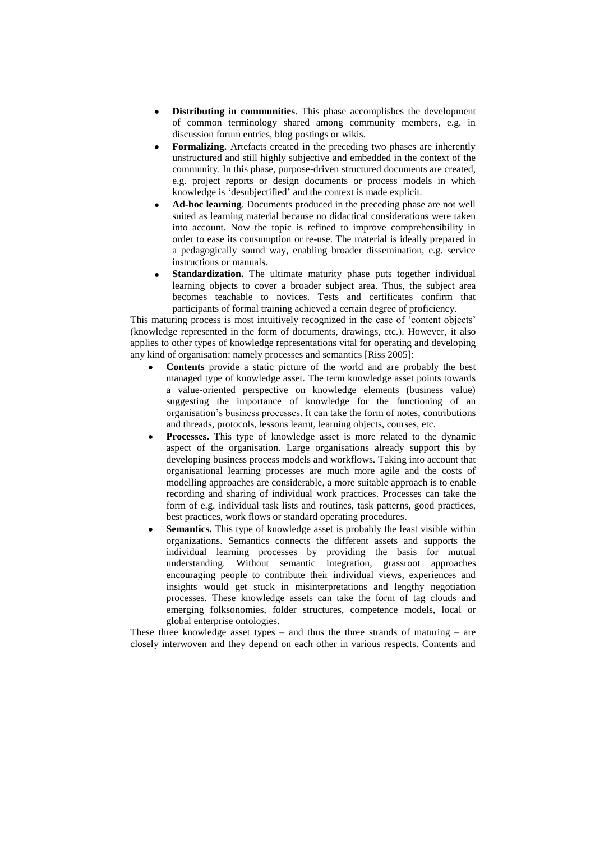- **Distributing in communities**. This phase accomplishes the development  $\bullet$ of common terminology shared among community members, e.g. in discussion forum entries, blog postings or wikis.
- $\bullet$ **Formalizing.** Artefacts created in the preceding two phases are inherently unstructured and still highly subjective and embedded in the context of the community. In this phase, purpose-driven structured documents are created, e.g. project reports or design documents or process models in which knowledge is 'desubjectified' and the context is made explicit.
- $\bullet$ **Ad-hoc learning**. Documents produced in the preceding phase are not well suited as learning material because no didactical considerations were taken into account. Now the topic is refined to improve comprehensibility in order to ease its consumption or re-use. The material is ideally prepared in a pedagogically sound way, enabling broader dissemination, e.g. service instructions or manuals.
- **Standardization.** The ultimate maturity phase puts together individual  $\bullet$ learning objects to cover a broader subject area. Thus, the subject area becomes teachable to novices. Tests and certificates confirm that participants of formal training achieved a certain degree of proficiency.

This maturing process is most intuitively recognized in the case of 'content objects' (knowledge represented in the form of documents, drawings, etc.). However, it also applies to other types of knowledge representations vital for operating and developing any kind of organisation: namely processes and semantics [Riss 2005]:

- **Contents** provide a static picture of the world and are probably the best managed type of knowledge asset. The term knowledge asset points towards a value-oriented perspective on knowledge elements (business value) suggesting the importance of knowledge for the functioning of an organisation's business processes. It can take the form of notes, contributions and threads, protocols, lessons learnt, learning objects, courses, etc.
- **Processes.** This type of knowledge asset is more related to the dynamic aspect of the organisation. Large organisations already support this by developing business process models and workflows. Taking into account that organisational learning processes are much more agile and the costs of modelling approaches are considerable, a more suitable approach is to enable recording and sharing of individual work practices. Processes can take the form of e.g. individual task lists and routines, task patterns, good practices, best practices, work flows or standard operating procedures.
- **Semantics.** This type of knowledge asset is probably the least visible within organizations. Semantics connects the different assets and supports the individual learning processes by providing the basis for mutual understanding. Without semantic integration, grassroot approaches encouraging people to contribute their individual views, experiences and insights would get stuck in misinterpretations and lengthy negotiation processes. These knowledge assets can take the form of tag clouds and emerging folksonomies, folder structures, competence models, local or global enterprise ontologies.

These three knowledge asset types – and thus the three strands of maturing – are closely interwoven and they depend on each other in various respects. Contents and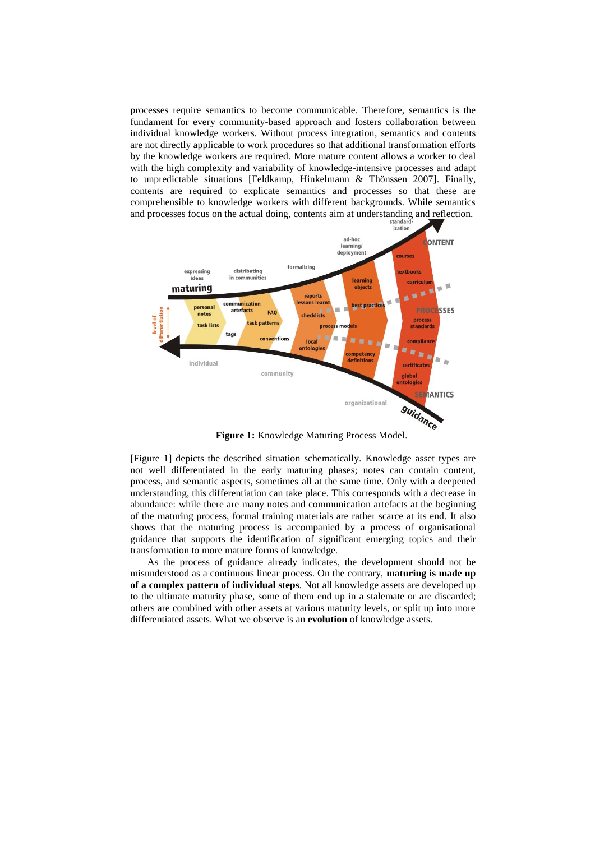processes require semantics to become communicable. Therefore, semantics is the fundament for every community-based approach and fosters collaboration between individual knowledge workers. Without process integration, semantics and contents are not directly applicable to work procedures so that additional transformation efforts by the knowledge workers are required. More mature content allows a worker to deal with the high complexity and variability of knowledge-intensive processes and adapt to unpredictable situations [Feldkamp, Hinkelmann & Thönssen 2007]. Finally, contents are required to explicate semantics and processes so that these are comprehensible to knowledge workers with different backgrounds. While semantics and processes focus on the actual doing, contents aim at understanding and reflection.



<span id="page-3-0"></span>[\[Figure 1\]](#page-3-0) depicts the described situation schematically. Knowledge asset types are not well differentiated in the early maturing phases; notes can contain content, process, and semantic aspects, sometimes all at the same time. Only with a deepened understanding, this differentiation can take place. This corresponds with a decrease in abundance: while there are many notes and communication artefacts at the beginning of the maturing process, formal training materials are rather scarce at its end. It also shows that the maturing process is accompanied by a process of organisational guidance that supports the identification of significant emerging topics and their transformation to more mature forms of knowledge.

As the process of guidance already indicates, the development should not be misunderstood as a continuous linear process. On the contrary, **maturing is made up of a complex pattern of individual steps**. Not all knowledge assets are developed up to the ultimate maturity phase, some of them end up in a stalemate or are discarded; others are combined with other assets at various maturity levels, or split up into more differentiated assets. What we observe is an **evolution** of knowledge assets.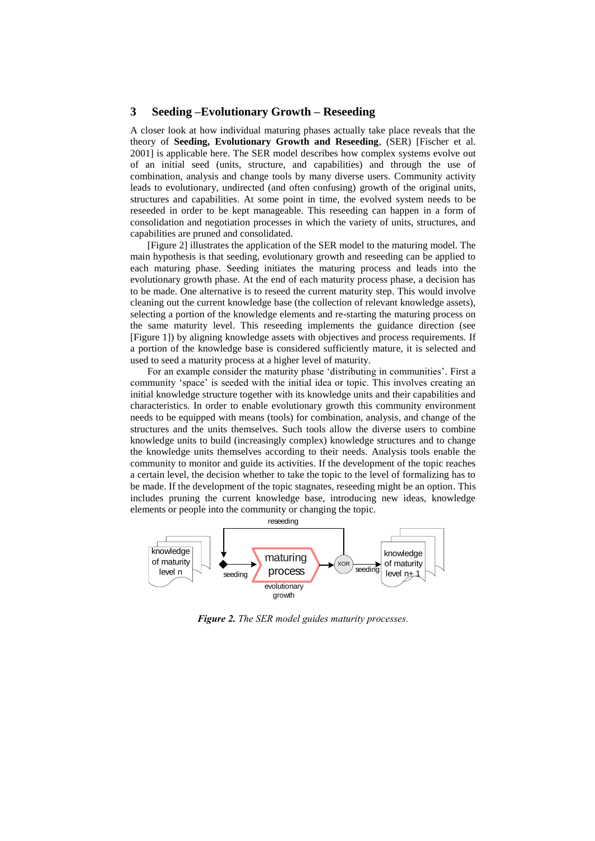### **3 Seeding –Evolutionary Growth – Reseeding**

A closer look at how individual maturing phases actually take place reveals that the theory of **Seeding, Evolutionary Growth and Reseeding**, (SER) [Fischer et al. 2001] is applicable here. The SER model describes how complex systems evolve out of an initial seed (units, structure, and capabilities) and through the use of combination, analysis and change tools by many diverse users. Community activity leads to evolutionary, undirected (and often confusing) growth of the original units, structures and capabilities. At some point in time, the evolved system needs to be reseeded in order to be kept manageable. This reseeding can happen in a form of consolidation and negotiation processes in which the variety of units, structures, and capabilities are pruned and consolidated.

[\[Figure 2\]](#page-4-0) illustrates the application of the SER model to the maturing model. The main hypothesis is that seeding, evolutionary growth and reseeding can be applied to each maturing phase. Seeding initiates the maturing process and leads into the evolutionary growth phase. At the end of each maturity process phase, a decision has to be made. One alternative is to reseed the current maturity step. This would involve cleaning out the current knowledge base (the collection of relevant knowledge assets), selecting a portion of the knowledge elements and re-starting the maturing process on the same maturity level. This reseeding implements the guidance direction (see [\[Figure 1\]](#page-3-0)) by aligning knowledge assets with objectives and process requirements. If a portion of the knowledge base is considered sufficiently mature, it is selected and used to seed a maturity process at a higher level of maturity.

For an example consider the maturity phase 'distributing in communities'. First a community 'space' is seeded with the initial idea or topic. This involves creating an initial knowledge structure together with its knowledge units and their capabilities and characteristics. In order to enable evolutionary growth this community environment needs to be equipped with means (tools) for combination, analysis, and change of the structures and the units themselves. Such tools allow the diverse users to combine knowledge units to build (increasingly complex) knowledge structures and to change the knowledge units themselves according to their needs. Analysis tools enable the community to monitor and guide its activities. If the development of the topic reaches a certain level, the decision whether to take the topic to the level of formalizing has to be made. If the development of the topic stagnates, reseeding might be an option. This includes pruning the current knowledge base, introducing new ideas, knowledge elements or people into the community or changing the topic.



<span id="page-4-0"></span>*Figure 2. The SER model guides maturity processes.*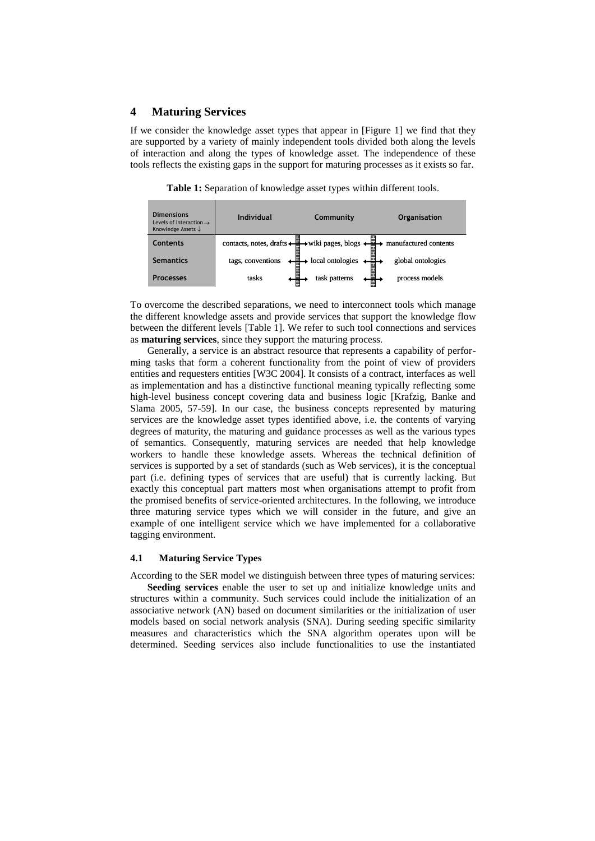# **4 Maturing Services**

If we consider the knowledge asset types that appear in [\[Figure 1\]](#page-3-0) we find that they are supported by a variety of mainly independent tools divided both along the levels of interaction and along the types of knowledge asset. The independence of these tools reflects the existing gaps in the support for maturing processes as it exists so far.

**Table 1:** Separation of knowledge asset types within different tools.

<span id="page-5-0"></span>

| <b>Dimensions</b><br>Levels of Interaction $\rightarrow$<br>Knowledge Assets $\downarrow$ | <b>Individual</b> | Community                      | <b>Organisation</b>                                                                                                         |
|-------------------------------------------------------------------------------------------|-------------------|--------------------------------|-----------------------------------------------------------------------------------------------------------------------------|
| <b>Contents</b>                                                                           |                   |                                | contacts, notes, drafts $\leftarrow \Box \rightarrow$ wiki pages, blogs $\leftarrow \Box \rightarrow$ manufactured contents |
| <b>Semantics</b>                                                                          | tags, conventions | $\rightarrow$ local ontologies | global ontologies                                                                                                           |
| <b>Processes</b>                                                                          | tasks             | task patterns                  | process models                                                                                                              |

To overcome the described separations, we need to interconnect tools which manage the different knowledge assets and provide services that support the knowledge flow between the different levels [\[Table 1\]](#page-5-0). We refer to such tool connections and services as **maturing services**, since they support the maturing process.

Generally, a service is an abstract resource that represents a capability of performing tasks that form a coherent functionality from the point of view of providers entities and requesters entities [W3C 2004]. It consists of a contract, interfaces as well as implementation and has a distinctive functional meaning typically reflecting some high-level business concept covering data and business logic [Krafzig, Banke and Slama 2005, 57-59]. In our case, the business concepts represented by maturing services are the knowledge asset types identified above, i.e. the contents of varying degrees of maturity, the maturing and guidance processes as well as the various types of semantics. Consequently, maturing services are needed that help knowledge workers to handle these knowledge assets. Whereas the technical definition of services is supported by a set of standards (such as Web services), it is the conceptual part (i.e. defining types of services that are useful) that is currently lacking. But exactly this conceptual part matters most when organisations attempt to profit from the promised benefits of service-oriented architectures. In the following, we introduce three maturing service types which we will consider in the future, and give an example of one intelligent service which we have implemented for a collaborative tagging environment.

### **4.1 Maturing Service Types**

According to the SER model we distinguish between three types of maturing services: **Seeding services** enable the user to set up and initialize knowledge units and structures within a community. Such services could include the initialization of an associative network (AN) based on document similarities or the initialization of user models based on social network analysis (SNA). During seeding specific similarity measures and characteristics which the SNA algorithm operates upon will be determined. Seeding services also include functionalities to use the instantiated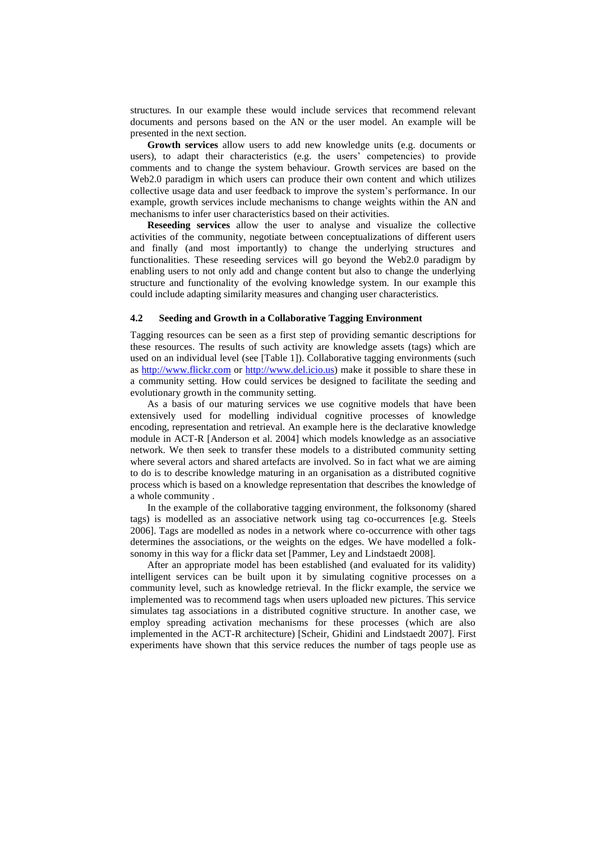structures. In our example these would include services that recommend relevant documents and persons based on the AN or the user model. An example will be presented in the next section.

**Growth services** allow users to add new knowledge units (e.g. documents or users), to adapt their characteristics (e.g. the users' competencies) to provide comments and to change the system behaviour. Growth services are based on the Web2.0 paradigm in which users can produce their own content and which utilizes collective usage data and user feedback to improve the system's performance. In our example, growth services include mechanisms to change weights within the AN and mechanisms to infer user characteristics based on their activities.

**Reseeding services** allow the user to analyse and visualize the collective activities of the community, negotiate between conceptualizations of different users and finally (and most importantly) to change the underlying structures and functionalities. These reseeding services will go beyond the Web2.0 paradigm by enabling users to not only add and change content but also to change the underlying structure and functionality of the evolving knowledge system. In our example this could include adapting similarity measures and changing user characteristics.

### **4.2 Seeding and Growth in a Collaborative Tagging Environment**

Tagging resources can be seen as a first step of providing semantic descriptions for these resources. The results of such activity are knowledge assets (tags) which are used on an individual level (see [Table 1]). Collaborative tagging environments (such as [http://www.flickr.com](http://www.flickr.com/) or [http://www.del.icio.us\)](http://www.del.icio.us/) make it possible to share these in a community setting. How could services be designed to facilitate the seeding and evolutionary growth in the community setting.

As a basis of our maturing services we use cognitive models that have been extensively used for modelling individual cognitive processes of knowledge encoding, representation and retrieval. An example here is the declarative knowledge module in ACT-R [Anderson et al. 2004] which models knowledge as an associative network. We then seek to transfer these models to a distributed community setting where several actors and shared artefacts are involved. So in fact what we are aiming to do is to describe knowledge maturing in an organisation as a distributed cognitive process which is based on a knowledge representation that describes the knowledge of a whole community .

In the example of the collaborative tagging environment, the folksonomy (shared tags) is modelled as an associative network using tag co-occurrences [e.g. Steels 2006]. Tags are modelled as nodes in a network where co-occurrence with other tags determines the associations, or the weights on the edges. We have modelled a folksonomy in this way for a flickr data set [Pammer, Ley and Lindstaedt 2008].

After an appropriate model has been established (and evaluated for its validity) intelligent services can be built upon it by simulating cognitive processes on a community level, such as knowledge retrieval. In the flickr example, the service we implemented was to recommend tags when users uploaded new pictures. This service simulates tag associations in a distributed cognitive structure. In another case, we employ spreading activation mechanisms for these processes (which are also implemented in the ACT-R architecture) [Scheir, Ghidini and Lindstaedt 2007]. First experiments have shown that this service reduces the number of tags people use as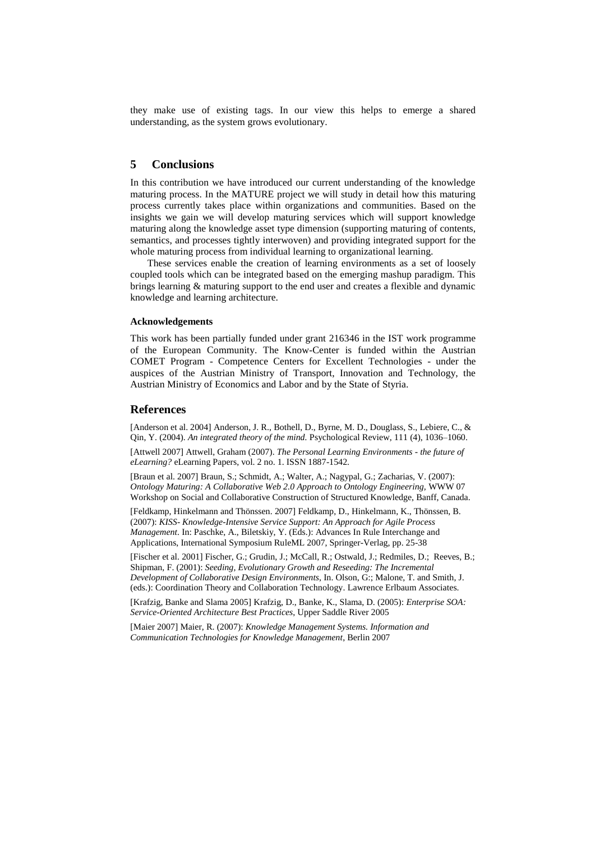they make use of existing tags. In our view this helps to emerge a shared understanding, as the system grows evolutionary.

# **5 Conclusions**

In this contribution we have introduced our current understanding of the knowledge maturing process. In the MATURE project we will study in detail how this maturing process currently takes place within organizations and communities. Based on the insights we gain we will develop maturing services which will support knowledge maturing along the knowledge asset type dimension (supporting maturing of contents, semantics, and processes tightly interwoven) and providing integrated support for the whole maturing process from individual learning to organizational learning.

These services enable the creation of learning environments as a set of loosely coupled tools which can be integrated based on the emerging mashup paradigm. This brings learning & maturing support to the end user and creates a flexible and dynamic knowledge and learning architecture.

### **Acknowledgements**

This work has been partially funded under grant 216346 in the IST work programme of the European Community. The Know-Center is funded within the Austrian COMET Program - Competence Centers for Excellent Technologies - under the auspices of the Austrian Ministry of Transport, Innovation and Technology, the Austrian Ministry of Economics and Labor and by the State of Styria.

# **References**

[Anderson et al. 2004] Anderson, J. R., Bothell, D., Byrne, M. D., Douglass, S., Lebiere, C., & Qin, Y. (2004). *An integrated theory of the mind.* Psychological Review, 111 (4), 1036–1060.

[Attwell 2007] Attwell, Graham (2007). *The Personal Learning Environments - the future of eLearning?* eLearning Papers, vol. 2 no. 1. ISSN 1887-1542.

[Braun et al. 2007] Braun, S.; Schmidt, A.; Walter, A.; Nagypal, G.; Zacharias, V. (2007): *Ontology Maturing: A Collaborative Web 2.0 Approach to Ontology Engineering,* WWW 07 Workshop on Social and Collaborative Construction of Structured Knowledge, Banff, Canada.

[Feldkamp, Hinkelmann and Thönssen. 2007] Feldkamp, D., Hinkelmann, K., Thönssen, B. (2007): *KISS- Knowledge-Intensive Service Support: An Approach for Agile Process Management*. In: Paschke, A., Biletskiy, Y. (Eds.): Advances In Rule Interchange and Applications, International Symposium RuleML 2007, Springer-Verlag, pp. 25-38

[Fischer et al. 2001] Fischer, G.; Grudin, J.; McCall, R.; Ostwald, J.; Redmiles, D.; Reeves, B.; Shipman, F. (2001): *Seeding, Evolutionary Growth and Reseeding: The Incremental Development of Collaborative Design Environments*, In. Olson, G:; Malone, T. and Smith, J. (eds.): Coordination Theory and Collaboration Technology. Lawrence Erlbaum Associates.

[Krafzig, Banke and Slama 2005] Krafzig, D., Banke, K., Slama, D. (2005): *Enterprise SOA: Service-Oriented Architecture Best Practices*, Upper Saddle River 2005

[Maier 2007] Maier, R. (2007): *Knowledge Management Systems. Information and Communication Technologies for Knowledge Management*, Berlin 2007